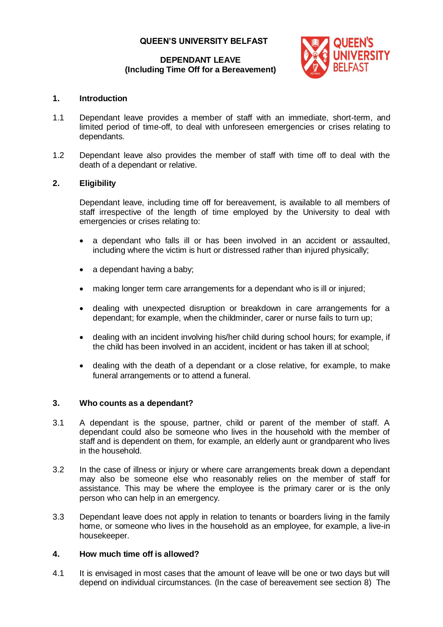## **QUEEN'S UNIVERSITY BELFAST**

### **DEPENDANT LEAVE (Including Time Off for a Bereavement)**



## **1. Introduction**

- 1.1 Dependant leave provides a member of staff with an immediate, short-term, and limited period of time-off, to deal with unforeseen emergencies or crises relating to dependants.
- 1.2 Dependant leave also provides the member of staff with time off to deal with the death of a dependant or relative.

# **2. Eligibility**

Dependant leave, including time off for bereavement, is available to all members of staff irrespective of the length of time employed by the University to deal with emergencies or crises relating to:

- a dependant who falls ill or has been involved in an accident or assaulted, including where the victim is hurt or distressed rather than injured physically;
- a dependant having a baby;
- making longer term care arrangements for a dependant who is ill or injured;
- dealing with unexpected disruption or breakdown in care arrangements for a dependant; for example, when the childminder, carer or nurse fails to turn up;
- dealing with an incident involving his/her child during school hours; for example, if the child has been involved in an accident, incident or has taken ill at school;
- dealing with the death of a dependant or a close relative, for example, to make funeral arrangements or to attend a funeral.

## **3. Who counts as a dependant?**

- 3.1 A dependant is the spouse, partner, child or parent of the member of staff. A dependant could also be someone who lives in the household with the member of staff and is dependent on them, for example, an elderly aunt or grandparent who lives in the household.
- 3.2 In the case of illness or injury or where care arrangements break down a dependant may also be someone else who reasonably relies on the member of staff for assistance. This may be where the employee is the primary carer or is the only person who can help in an emergency.
- 3.3 Dependant leave does not apply in relation to tenants or boarders living in the family home, or someone who lives in the household as an employee, for example, a live-in housekeeper.

## **4. How much time off is allowed?**

4.1 It is envisaged in most cases that the amount of leave will be one or two days but will depend on individual circumstances. (In the case of bereavement see section 8) The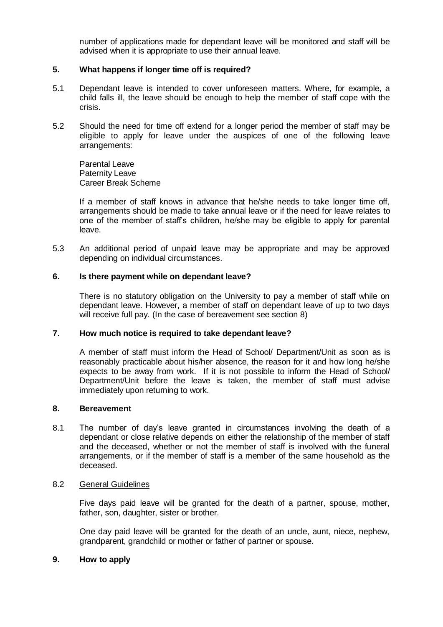number of applications made for dependant leave will be monitored and staff will be advised when it is appropriate to use their annual leave.

### **5. What happens if longer time off is required?**

- 5.1 Dependant leave is intended to cover unforeseen matters. Where, for example, a child falls ill, the leave should be enough to help the member of staff cope with the crisis.
- 5.2 Should the need for time off extend for a longer period the member of staff may be eligible to apply for leave under the auspices of one of the following leave arrangements:

Parental Leave Paternity Leave Career Break Scheme

If a member of staff knows in advance that he/she needs to take longer time off, arrangements should be made to take annual leave or if the need for leave relates to one of the member of staff's children, he/she may be eligible to apply for parental leave.

5.3 An additional period of unpaid leave may be appropriate and may be approved depending on individual circumstances.

#### **6. Is there payment while on dependant leave?**

There is no statutory obligation on the University to pay a member of staff while on dependant leave. However, a member of staff on dependant leave of up to two days will receive full pay. (In the case of bereavement see section 8)

#### **7. How much notice is required to take dependant leave?**

A member of staff must inform the Head of School/ Department/Unit as soon as is reasonably practicable about his/her absence, the reason for it and how long he/she expects to be away from work. If it is not possible to inform the Head of School/ Department/Unit before the leave is taken, the member of staff must advise immediately upon returning to work.

#### **8. Bereavement**

8.1 The number of day's leave granted in circumstances involving the death of a dependant or close relative depends on either the relationship of the member of staff and the deceased, whether or not the member of staff is involved with the funeral arrangements, or if the member of staff is a member of the same household as the deceased.

### 8.2 General Guidelines

Five days paid leave will be granted for the death of a partner, spouse, mother, father, son, daughter, sister or brother.

One day paid leave will be granted for the death of an uncle, aunt, niece, nephew, grandparent, grandchild or mother or father of partner or spouse.

#### **9. How to apply**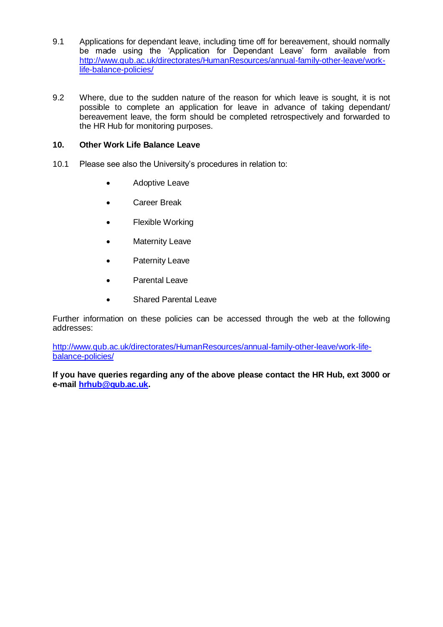- 9.1 Applications for dependant leave, including time off for bereavement, should normally be made using the 'Application for Dependant Leave' form available from [http://www.qub.ac.uk/directorates/HumanResources/annual-family-other-leave/work](http://www.qub.ac.uk/directorates/HumanResources/annual-family-other-leave/work-life-balance-policies/)[life-balance-policies/](http://www.qub.ac.uk/directorates/HumanResources/annual-family-other-leave/work-life-balance-policies/)
- 9.2 Where, due to the sudden nature of the reason for which leave is sought, it is not possible to complete an application for leave in advance of taking dependant/ bereavement leave, the form should be completed retrospectively and forwarded to the HR Hub for monitoring purposes.

## **10. Other Work Life Balance Leave**

- 10.1 Please see also the University's procedures in relation to:
	- Adoptive Leave
	- Career Break
	- Flexible Working
	- Maternity Leave
	- Paternity Leave
	- Parental Leave
	- Shared Parental Leave

Further information on these policies can be accessed through the web at the following addresses:

[http://www.qub.ac.uk/directorates/HumanResources/annual-family-other-leave/work-life](http://www.qub.ac.uk/directorates/HumanResources/annual-family-other-leave/work-life-balance-policies/)[balance-policies/](http://www.qub.ac.uk/directorates/HumanResources/annual-family-other-leave/work-life-balance-policies/)

**If you have queries regarding any of the above please contact the HR Hub, ext 3000 or e-mail [hrhub@qub.ac.uk.](mailto:hr@qub.ac.uk)**